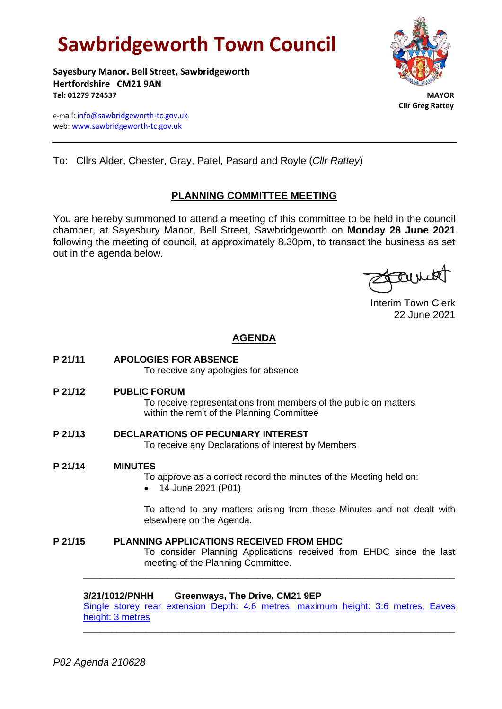# **Sawbridgeworth Town Council**

**Sayesbury Manor. Bell Street, Sawbridgeworth Hertfordshire CM21 9AN Tel: 01279 724537 MAYOR**

e-mail[: info@sawbridgeworth-tc.gov.uk](mailto:info@sawbridgeworth-tc.gov.uk) web: www.sawbridgeworth-tc.gov.uk



 **Cllr Greg Rattey**

To: Cllrs Alder, Chester, Gray, Patel, Pasard and Royle (*Cllr Rattey*)

# **PLANNING COMMITTEE MEETING**

You are hereby summoned to attend a meeting of this committee to be held in the council chamber, at Sayesbury Manor, Bell Street, Sawbridgeworth on **Monday 28 June 2021** following the meeting of council, at approximately 8.30pm, to transact the business as set out in the agenda below.

family

Interim Town Clerk 22 June 2021

# **AGENDA**

**P 21/11 APOLOGIES FOR ABSENCE**

To receive any apologies for absence

**P 21/12 PUBLIC FORUM**

To receive representations from members of the public on matters within the remit of the Planning Committee

- **P 21/13 DECLARATIONS OF PECUNIARY INTEREST** To receive any Declarations of Interest by Members
- **P 21/14 MINUTES**

To approve as a correct record the minutes of the Meeting held on:

• 14 June 2021 (P01)

To attend to any matters arising from these Minutes and not dealt with elsewhere on the Agenda.

# **P 21/15 PLANNING APPLICATIONS RECEIVED FROM EHDC**

To consider Planning Applications received from EHDC since the last meeting of the Planning Committee.

# **3/21/1012/PNHH Greenways, The Drive, CM21 9EP**

[Single storey rear extension Depth: 4.6 metres, maximum height: 3.6 metres, Eaves](https://publicaccess.eastherts.gov.uk/online-applications/applicationDetails.do?activeTab=documents&keyVal=QRT3V1GL00X00)  [height: 3 metres](https://publicaccess.eastherts.gov.uk/online-applications/applicationDetails.do?activeTab=documents&keyVal=QRT3V1GL00X00)

**\_\_\_\_\_\_\_\_\_\_\_\_\_\_\_\_\_\_\_\_\_\_\_\_\_\_\_\_\_\_\_\_\_\_\_\_\_\_\_\_\_\_\_\_\_\_\_\_\_\_\_\_\_\_\_\_\_\_\_\_\_\_\_\_\_\_**

**\_\_\_\_\_\_\_\_\_\_\_\_\_\_\_\_\_\_\_\_\_\_\_\_\_\_\_\_\_\_\_\_\_\_\_\_\_\_\_\_\_\_\_\_\_\_\_\_\_\_\_\_\_\_\_\_\_\_\_\_\_\_\_\_\_\_**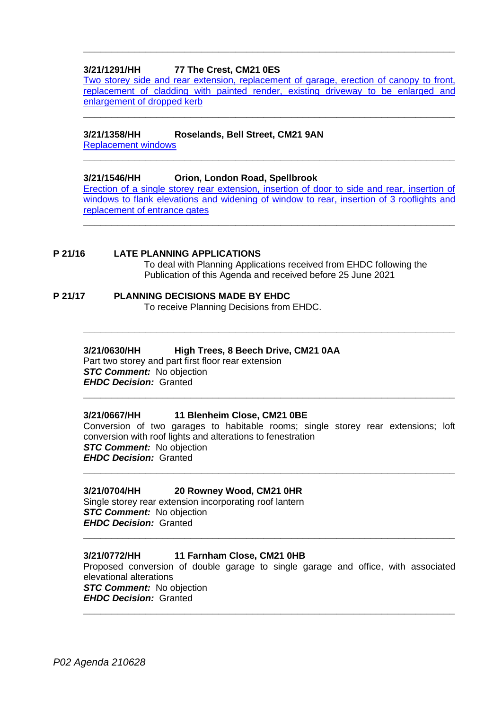## **3/21/1291/HH 77 The Crest, CM21 0ES**

[Two storey side and rear extension, replacement of garage, erection of canopy to front,](https://publicaccess.eastherts.gov.uk/online-applications/applicationDetails.do?activeTab=documents&keyVal=QT1WGWGLMOO00)  [replacement of cladding with painted render, existing driveway to be enlarged and](https://publicaccess.eastherts.gov.uk/online-applications/applicationDetails.do?activeTab=documents&keyVal=QT1WGWGLMOO00)  [enlargement of dropped kerb](https://publicaccess.eastherts.gov.uk/online-applications/applicationDetails.do?activeTab=documents&keyVal=QT1WGWGLMOO00)

**\_\_\_\_\_\_\_\_\_\_\_\_\_\_\_\_\_\_\_\_\_\_\_\_\_\_\_\_\_\_\_\_\_\_\_\_\_\_\_\_\_\_\_\_\_\_\_\_\_\_\_\_\_\_\_\_\_\_\_\_\_\_\_\_\_\_**

**\_\_\_\_\_\_\_\_\_\_\_\_\_\_\_\_\_\_\_\_\_\_\_\_\_\_\_\_\_\_\_\_\_\_\_\_\_\_\_\_\_\_\_\_\_\_\_\_\_\_\_\_\_\_\_\_\_\_\_\_\_\_\_\_\_\_**

**\_\_\_\_\_\_\_\_\_\_\_\_\_\_\_\_\_\_\_\_\_\_\_\_\_\_\_\_\_\_\_\_\_\_\_\_\_\_\_\_\_\_\_\_\_\_\_\_\_\_\_\_\_\_\_\_\_\_\_\_\_\_\_\_\_\_**

## **3/21/1358/HH Roselands, Bell Street, CM21 9AN**

[Replacement windows](https://publicaccess.eastherts.gov.uk/online-applications/applicationDetails.do?activeTab=documents&keyVal=QTEJXXGLMTA00)

## **3/21/1546/HH Orion, London Road, Spellbrook**

[Erection of a single storey rear extension, insertion of door to side and rear, insertion of](https://publicaccess.eastherts.gov.uk/online-applications/applicationDetails.do?activeTab=documents&keyVal=QUHFZFGLFG300)  [windows to flank elevations and widening of window to rear,](https://publicaccess.eastherts.gov.uk/online-applications/applicationDetails.do?activeTab=documents&keyVal=QUHFZFGLFG300) insertion of 3 rooflights and replacement [of entrance gates](https://publicaccess.eastherts.gov.uk/online-applications/applicationDetails.do?activeTab=documents&keyVal=QUHFZFGLFG300)

**\_\_\_\_\_\_\_\_\_\_\_\_\_\_\_\_\_\_\_\_\_\_\_\_\_\_\_\_\_\_\_\_\_\_\_\_\_\_\_\_\_\_\_\_\_\_\_\_\_\_\_\_\_\_\_\_\_\_\_\_\_\_\_\_\_\_**

**\_\_\_\_\_\_\_\_\_\_\_\_\_\_\_\_\_\_\_\_\_\_\_\_\_\_\_\_\_\_\_\_\_\_\_\_\_\_\_\_\_\_\_\_\_\_\_\_\_\_\_\_\_\_\_\_\_\_\_\_\_\_\_\_\_\_**

**P 21/16 LATE PLANNING APPLICATIONS** To deal with Planning Applications received from EHDC following the Publication of this Agenda and received before 25 June 2021

#### **P 21/17 PLANNING DECISIONS MADE BY EHDC** To receive Planning Decisions from EHDC.

## **3/21/0630/HH High Trees, 8 Beech Drive, CM21 0AA**

Part two storey and part first floor rear extension *STC Comment:* No objection *EHDC Decision:* Granted **\_\_\_\_\_\_\_\_\_\_\_\_\_\_\_\_\_\_\_\_\_\_\_\_\_\_\_\_\_\_\_\_\_\_\_\_\_\_\_\_\_\_\_\_\_\_\_\_\_\_\_\_\_\_\_\_\_\_\_\_\_\_\_\_\_\_**

## **3/21/0667/HH 11 Blenheim Close, CM21 0BE**

Conversion of two garages to habitable rooms; single storey rear extensions; loft conversion with roof lights and alterations to fenestration *STC Comment:* No objection *EHDC Decision:* Granted

**\_\_\_\_\_\_\_\_\_\_\_\_\_\_\_\_\_\_\_\_\_\_\_\_\_\_\_\_\_\_\_\_\_\_\_\_\_\_\_\_\_\_\_\_\_\_\_\_\_\_\_\_\_\_\_\_\_\_\_\_\_\_\_\_\_\_**

#### **3/21/0704/HH 20 Rowney Wood, CM21 0HR**

Single storey rear extension incorporating roof lantern *STC Comment:* No objection *EHDC Decision:* Granted

## **3/21/0772/HH 11 Farnham Close, CM21 0HB**

Proposed conversion of double garage to single garage and office, with associated elevational alterations **STC Comment:** No objection

**\_\_\_\_\_\_\_\_\_\_\_\_\_\_\_\_\_\_\_\_\_\_\_\_\_\_\_\_\_\_\_\_\_\_\_\_\_\_\_\_\_\_\_\_\_\_\_\_\_\_\_\_\_\_\_\_\_\_\_\_\_\_\_\_\_\_**

**\_\_\_\_\_\_\_\_\_\_\_\_\_\_\_\_\_\_\_\_\_\_\_\_\_\_\_\_\_\_\_\_\_\_\_\_\_\_\_\_\_\_\_\_\_\_\_\_\_\_\_\_\_\_\_\_\_\_\_\_\_\_\_\_\_\_**

*EHDC Decision:* Granted